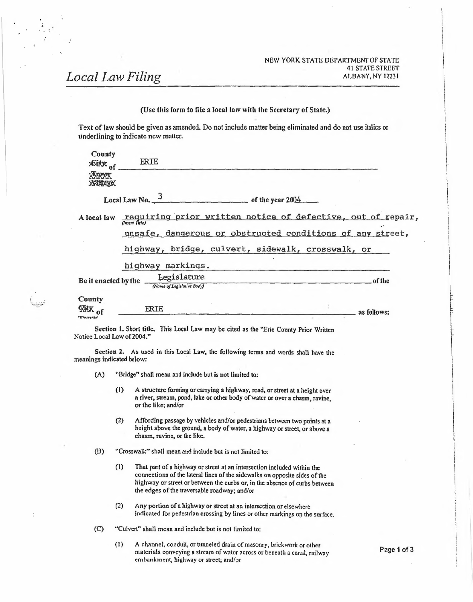## NEW YORK STATE DEPARTMENT OF STATE 41 STATE STREET ALBANY, NY 12231

i \

> $\mathbf i$ i ! l

> > i. ì I

> > > f ! I i

> > > > ~ l I t

# *Local Law Filing*

|                            |     |                                     |                                                                                                                         |                                                                                                                                                            | NEW YORK STATE DEPARTMENT OF STATE<br><b>41 STATE STREET</b>            |
|----------------------------|-----|-------------------------------------|-------------------------------------------------------------------------------------------------------------------------|------------------------------------------------------------------------------------------------------------------------------------------------------------|-------------------------------------------------------------------------|
|                            |     | ocal Law Filing                     |                                                                                                                         |                                                                                                                                                            | ALBANY, NY 12231                                                        |
|                            |     |                                     |                                                                                                                         |                                                                                                                                                            |                                                                         |
|                            |     |                                     |                                                                                                                         | (Use this form to file a local law with the Secretary of State.)                                                                                           |                                                                         |
|                            |     | underlining to indicate new matter. |                                                                                                                         | Text of law should be given as amended. Do not include matter being eliminated and do not use italics or                                                   |                                                                         |
| County<br>xGitx of         |     | ERIE                                |                                                                                                                         |                                                                                                                                                            |                                                                         |
| <b>XXXXXXX</b><br>XXIXIXIX |     |                                     |                                                                                                                         |                                                                                                                                                            |                                                                         |
|                            |     |                                     | Local Law No. $\frac{3}{2}$ of the year 2004                                                                            |                                                                                                                                                            |                                                                         |
|                            |     |                                     |                                                                                                                         |                                                                                                                                                            | A local law requiring prior written notice of defective, out of repair, |
|                            |     |                                     |                                                                                                                         |                                                                                                                                                            | unsafe, dangerous or obstructed conditions of any street,               |
|                            |     |                                     |                                                                                                                         | highway, bridge, culvert, sidewalk, crosswalk, or                                                                                                          |                                                                         |
|                            |     | highway markings.                   |                                                                                                                         | <u> The Common Secret Common Secret Common Secret Common Secret Common Secret Common Secret Common Secret Common Secret</u>                                |                                                                         |
|                            |     |                                     |                                                                                                                         | Be it enacted by the $\frac{\text{Legislature}}{\text{Number of legalative Body}}$ of the                                                                  |                                                                         |
| County                     |     |                                     |                                                                                                                         |                                                                                                                                                            |                                                                         |
| <b>Witx</b> of             |     | <b>ERIE</b>                         |                                                                                                                         |                                                                                                                                                            | $\equiv$ as follows:                                                    |
| Notice Local Law of 2004." |     |                                     |                                                                                                                         | Section 1. Short title. This Local Law may be cited as the "Erie County Prior Written                                                                      |                                                                         |
| meanings indicated below:  |     |                                     |                                                                                                                         | Section 2. As used in this Local Law, the following terms and words shall have the                                                                         |                                                                         |
| (A)                        |     |                                     | "Bridge" shall mean and include but is not limited to:                                                                  |                                                                                                                                                            |                                                                         |
|                            | (1) | or the like; and/or                 |                                                                                                                         | A structure forming or carrying a highway, road, or street at a height over<br>a river, stream, pond, lake or other body of water or over a chasm, ravine, |                                                                         |
|                            | (2) | chasm, ravine, or the like.         |                                                                                                                         | Affording passage by vehicles and/or pedestrians between two points at a<br>height above the ground, a body of water, a highway or street, or above a      |                                                                         |
| (B)                        |     |                                     | "Crosswalk" shall mean and include but is not limited to:                                                               |                                                                                                                                                            |                                                                         |
|                            | (1) |                                     | That part of a highway or street at an intersection included within the<br>the edges of the traversable roadway; and/or | connections of the lateral lines of the sidewalks on opposite sides of the<br>highway or street or between the curbs or, in the absence of curbs between   |                                                                         |
|                            | (2) |                                     | Any portion of a highway or street at an intersection or elsewhere                                                      | indicated for pedestrian crossing by lines or other markings on the surface.                                                                               |                                                                         |
| (C)                        |     |                                     |                                                                                                                         |                                                                                                                                                            |                                                                         |
|                            |     |                                     | "Culvert" shall mean and include but is not limited to:                                                                 |                                                                                                                                                            |                                                                         |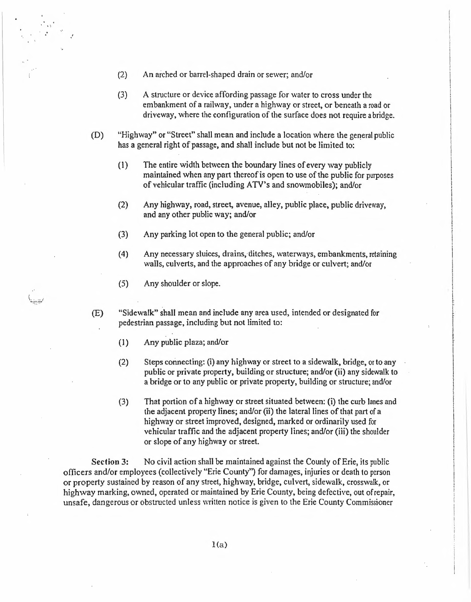- (2) An arched or barrel-shaped drain or sewer; and/or
- (3) A structure or device affording passage for water to cross under the embankment of <sup>a</sup> railway, under <sup>a</sup> highway or street, or beneath a road or driveway, where the configuration of the surface does not require abridge.
- (D) "Highway" or "Street" shall mean and include a location where the general public has a general right of passage, and shall include but not be limited to:
	- (1) The entire width between the boundary lines of every way publicly maintained when any part thereof is open to use of the public for purposes of vehicular traffic (including ATV's and snowmobiles); and/or
	- (2) Any highway, road, street, avenue, alley, public place, public driveway, and any other public way; and/or
	- (3) Any parking lot open to the general public; and/or
	- (4) Any necessary sluices, drains, ditches, waterways, embankments, retaining walls, culverts, and the approaches of any bridge or culvert; and/or

I t

f. I

(5) Any shoulder or slope.

 $,\cdot$ 

- (E) "Sidewalk" shall mean and include any area used, intended or designated for pedestrian passage, including but not limited to:
	- (1) Any public plaza; and/or
	- (2) Steps connecting: (i) any highway or street to a sidewalk, bridge, or to any public or private property, building or structure; and/or (ii) any sidewalk to a bridge or to any public or private property, building or structure; and/or
	- (3) That portion of a highway or street situated between: (i) the curb lanes and the adjacent property lines; and/or (ii) the lateral lines of that part of a highway or street improved, designed, marked or ordinarily used for vehicular traffic and the adjacent property lines; and/or (iii) the shoulder or slope of any highway or street.

**Section 3:** No civil action shall be maintained against the County of Erie, its public officers and/or employees (collectively "Erie County'') for damages, injuries or death to person or property sustained by reason of any street, highway, bridge, culvert, sidewalk, crosswalk, or highway marking, owned, operated or maintained by Erie County, being defective, out ofrepair, unsafe, dangerous or obstructed unless written notice is given to the Erie County Commissioner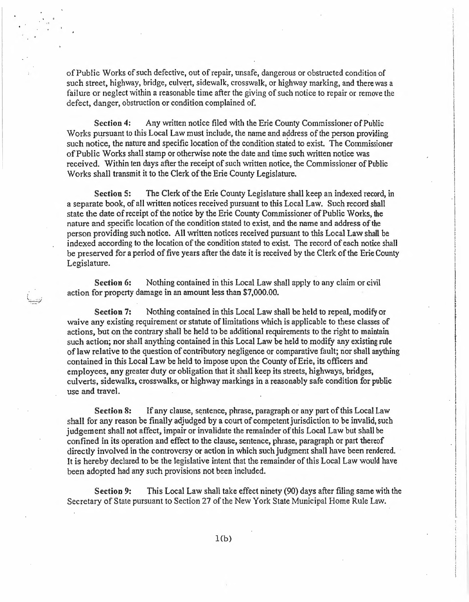of Public Works of such defective, out of repair, unsafe, dangerous or obstructed condition of such street, highway, bridge, culvert, sidewalk, crosswalk, or highway marking, and there was a failure or neglect within a reasonable time after the giving of such notice to repair or remove the defect, danger, obstruction or condition complained of.

. .

**Section 4:** Any written notice filed with the Erie County Commissioner of Public Works pursuant to this Local Law must include, the name and address of the person providing such notice, the nature and specific location of the condition stated to exist. The Commissioner ofPublic Works shall stamp or otherwise note the date and time such written notice was received. Within ten days after the receipt of such written notice, the Commissioner of Public Works shall transmit it to the Clerk of the Erie County Legislature.

**Section 5:** The Clerk of the Erie County Legislature shall keep an indexed record, in a separate book, of all written notices received pursuant to this Local Law. Such record shall state the date of receipt of the notice by the Erie County Commissioner of Public Works, the nature and specific location of the condition stated to exist, and the name and address of the person providing such notice. All written notices received pursuant to this Local Law shall be indexed according to the location of the condition stated to exist. The record of each notice shall be preserved for a period of five years after the date it is received by the Clerk of the Erie County Legislature.

**Section** 6: Nothing contained in this Local Law shall apply to any claim or civil action for property damage in an amount less than \$7,000.00.

**Section 7:** Nothing contained in this Local Law shall be held to repeal, modify or waive any existing requirement or statute of limitations which is applicable to these classes of actions, but on the contrary shall be held to be additional requirements to the right to maintain such action; nor shall anything contained in this Local Law be held to modify any existing rule of law relative to the question of contributory negligence or comparative fault; nor shall anything contained in this Local Law be held to impose upon the County ofErie, its officers and employees, any greater duty or obligation that it shall keep its streets, highways, bridges, culverts, sidewalks, crosswalks, or highway markings in a reasonably safe condition for public use and travel.

**Section 8:** If any clause, sentence, phrase, paragraph or any part of this Local Law shall for any reason be finally adjudged by a court of competent jurisdiction to be invalid, such judgement shall not affect, impair or invalidate the remainder ofthis Local Law but shall be confined in its operation and effect to the clause, sentence, phrase, paragraph or part thereof directly involved in the controversy or action in which such judgment shall have been rendered. It is hereby declared to be the legislative intent that the remainder of this Local Law would have been adopted had any such provisions not been included.

**Section 9:** This Local Law shall take effect ninety (90) days after filing same with the Secretary of State pursuant to Section 27 of the New York State Municipal Home Rule Law.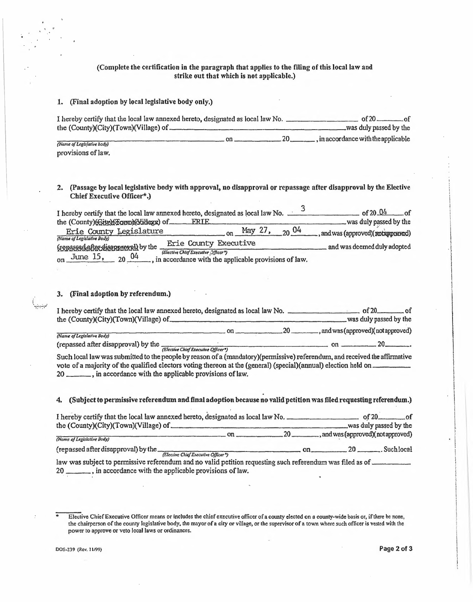## (Complete the certification in the paragraph that applies to the filing of this local law and strike out that which is not applicable.)

#### l. (Final adoption by local legislative body only.)

t,

| ν<br>(Complete the certification in the paragraph that applies to the filing of this local law and | strike out that which is not applicable.) |                        |
|----------------------------------------------------------------------------------------------------|-------------------------------------------|------------------------|
| 1. (Final adoption by local legislative body only.)                                                |                                           |                        |
| the (County)(City)(Town)(Village) of ___                                                           |                                           | was duly passed by the |
| (Name of Legislative body)<br>provisions of law.                                                   |                                           |                        |
|                                                                                                    |                                           |                        |

# 2. (Passage by local legislative body with approval, no disapproval or repassage after disapproval by the Elective Chief Executive Officer\*.)

| (Complete the certification in the paragraph that applies to the filing of this local law and<br>strike out that which is not applicable.)                                                                                                                                                                                                                                                                                                                                                                                                                                                                                                                                                                                            |
|---------------------------------------------------------------------------------------------------------------------------------------------------------------------------------------------------------------------------------------------------------------------------------------------------------------------------------------------------------------------------------------------------------------------------------------------------------------------------------------------------------------------------------------------------------------------------------------------------------------------------------------------------------------------------------------------------------------------------------------|
| 1. (Final adoption by local legislative body only.)                                                                                                                                                                                                                                                                                                                                                                                                                                                                                                                                                                                                                                                                                   |
|                                                                                                                                                                                                                                                                                                                                                                                                                                                                                                                                                                                                                                                                                                                                       |
|                                                                                                                                                                                                                                                                                                                                                                                                                                                                                                                                                                                                                                                                                                                                       |
| (Name of Legislative body)<br>provisions of law.                                                                                                                                                                                                                                                                                                                                                                                                                                                                                                                                                                                                                                                                                      |
| 2. (Passage by local legislative body with approval, no disapproval or repassage after disapproval by the Elective<br>Chief Executive Officer*.)<br>I hereby certify that the local law annexed hereto, designated as local law No. $\frac{3}{2}$ of 20.04 of<br>$\frac{\text{May } 27, \text{ day } 27}{20.04}$ and was (approved)(rexamples and was (approved) (rexamples and was (approved)<br>the (County) (Gits) is forma) (Nillage) of _____ ERTE<br>Erie County Legislature<br>(Name of Legislative Body)<br>(researcheferdienergy) by the Erie County Executive<br>and was deemed duly adopted<br>(Elective Chief Executive Officer <sup>9</sup> )<br>on June 15, 20 04, in accordance with the applicable provisions of law. |
| 3. (Final adoption by referendum.)                                                                                                                                                                                                                                                                                                                                                                                                                                                                                                                                                                                                                                                                                                    |
| the (County)(City)(Town)(Village) of was duly passed by the                                                                                                                                                                                                                                                                                                                                                                                                                                                                                                                                                                                                                                                                           |
|                                                                                                                                                                                                                                                                                                                                                                                                                                                                                                                                                                                                                                                                                                                                       |
| (Name of Legislative Body)                                                                                                                                                                                                                                                                                                                                                                                                                                                                                                                                                                                                                                                                                                            |
| Such local law was submitted to the people by reason of a (mandatory)(permissive) referendum, and received the affirmative<br>vote of a majority of the qualified electors voting thereon at the (general) (special)(annual) election held on<br>20 _______, in accordance with the applicable provisions of law.                                                                                                                                                                                                                                                                                                                                                                                                                     |
| 4. (Subject to permissive referendum and final adoption because no valid petition was filed requesting referendum.)                                                                                                                                                                                                                                                                                                                                                                                                                                                                                                                                                                                                                   |
| the $\frac{O(120)}{N \cdot \text{cos of } \text{log of } \text{cos of } \text{cos of } \text{cos of } \text{cos of } \text{cos of } \text{cos of } \text{cos of } \text{cos of } \text{cos of } \text{cos of } \text{cos of } \text{cos of } \text{cos of } \text{cos of } \text{cos of } \text{cos of } \text{cos of } \text{cos of } \text{cos of } \text{cos of } \text{cos of } \text{cos of } \text{cos of } \text{cos of } \text{cos of } \text{cos of } \text{cos of } \text{cos of } \text{cos of } \text{cos of } \text{cos of } \text{cos of$                                                                                                                                                                               |
|                                                                                                                                                                                                                                                                                                                                                                                                                                                                                                                                                                                                                                                                                                                                       |
| (repassed after disapproval) by the Christian Christian Christian Christian Christian Christian Christian Christian Christian Christian Christian Christian Christian Christian Christian Christian Christian Christian Christ                                                                                                                                                                                                                                                                                                                                                                                                                                                                                                        |

#### **3. (Final adoption by referendum.)**

| FIJE COUNTY EXECUTIVE<br>(reparsed after disapprecent) by the                                                                   | and was deemed duly adopted        |
|---------------------------------------------------------------------------------------------------------------------------------|------------------------------------|
| (Elective Chief Executive Officer <sup>9</sup> )                                                                                |                                    |
| on June 15, $20\frac{04}{1}$ , in accordance with the applicable provisions of law.                                             |                                    |
|                                                                                                                                 |                                    |
|                                                                                                                                 |                                    |
|                                                                                                                                 |                                    |
| 3. (Final adoption by referendum.)                                                                                              |                                    |
|                                                                                                                                 |                                    |
|                                                                                                                                 |                                    |
| the (County)(City)(Town)(Village) of                                                                                            | was duly passed by the             |
| 20<br>on                                                                                                                        | , and was (approved)(not approved) |
| (Name of Legislative Body)                                                                                                      |                                    |
| (repassed after disapproval) by the <i>(Elective Chief Executive Officer</i> )                                                  |                                    |
| Such local law was submitted to the people by reason of a (mandatory)(permissive) referendum, and received the affirmative      |                                    |
|                                                                                                                                 |                                    |
| vote of a majority of the qualified electors voting thereon at the (general) (special)(annual) election held on                 |                                    |
| 20 _______, in accordance with the applicable provisions of law.                                                                |                                    |
|                                                                                                                                 |                                    |
|                                                                                                                                 |                                    |
| A AC-rhiant to manufactor no famou deven and final advantar has area no see 12d ustition was filed as an active national draw ) |                                    |

#### 4. (Subjectto permissive referendum and final adoption because no valid petition was filed requesting referendum.)

| I hereby certify that the local law annexed hereto, designated as local law No. $\frac{3}{2}$ of 20.04 of<br>the (County) (Gits) (Kora) (Xillage) of FRIE was duly passed by the Erie County) (Gits) (Xillage) on May 27, 20 $04$ , and was (approved) (Rotappared) |                                             |  |  |
|---------------------------------------------------------------------------------------------------------------------------------------------------------------------------------------------------------------------------------------------------------------------|---------------------------------------------|--|--|
| (Name of Legislative Body)                                                                                                                                                                                                                                          |                                             |  |  |
| Executive and was deemed duly adopted<br>$\frac{\text{Exercise 15}}{20}$ and was deemed duly adopted<br>on June 15, 20 04, in accordance with the applicable provisions of law.                                                                                     |                                             |  |  |
|                                                                                                                                                                                                                                                                     |                                             |  |  |
|                                                                                                                                                                                                                                                                     |                                             |  |  |
|                                                                                                                                                                                                                                                                     |                                             |  |  |
|                                                                                                                                                                                                                                                                     |                                             |  |  |
| 3. (Final adoption by referendum.)                                                                                                                                                                                                                                  |                                             |  |  |
|                                                                                                                                                                                                                                                                     |                                             |  |  |
|                                                                                                                                                                                                                                                                     |                                             |  |  |
|                                                                                                                                                                                                                                                                     |                                             |  |  |
|                                                                                                                                                                                                                                                                     |                                             |  |  |
| (Name of Legislative Body)                                                                                                                                                                                                                                          | $on$ 20 , and was (approved) (not approved) |  |  |
| Such local law was submitted to the people by reason of a (mandatory)(permissive) referendum, and received the affirmative                                                                                                                                          |                                             |  |  |
| vote of a majority of the qualified electors voting thereon at the (general) (special) (annual) election held on<br>20 ______, in accordance with the applicable provisions of law.                                                                                 |                                             |  |  |
| 4. (Subject to permissive referendum and final adoption because no valid petition was filed requesting referendum.)                                                                                                                                                 |                                             |  |  |
|                                                                                                                                                                                                                                                                     |                                             |  |  |
|                                                                                                                                                                                                                                                                     |                                             |  |  |
|                                                                                                                                                                                                                                                                     |                                             |  |  |
| (Nome of Legislative Body)                                                                                                                                                                                                                                          |                                             |  |  |
|                                                                                                                                                                                                                                                                     |                                             |  |  |
| law was subject to permissive referendum and no valid petition requesting such referendum was filed as of<br>20 _______, in accordance with the applicable provisions of law.                                                                                       |                                             |  |  |

Elective Chief Executive Officer means or includes the chief executive officer of a county elected on a county-wide basis or, ifthere be none, the chairperson of the county legislative body, the mayor of a city or village, or the supervisor of a town where such officer is vested with the power to approve or veto local laws or ordinances.

DOS-239 (Rev. 1199) **Page <sup>2</sup> of3**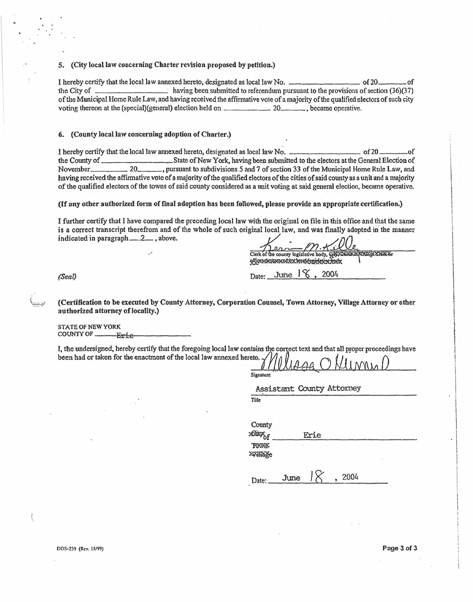5. (City local law concerning Charter revision proposed by petition.)

I hereby certify that the local law annexed hereto, designated as local lawNo. of2Q of the City of having been submitted to referendum pursuant to the provisions of section (36)(37) of the Municipal Home Rule Law, and having received the affirmative vote of a majority of the qualified electors of such city Fractive voting that the local law annexed hereto, designated as local law No.<br>
the City of the Municipal Home Rule Law, and having received the affirmative vote of a majority of the qualified election held on  $\frac{20}{\sqrt{1 -$ 

**6. (County local law concerning adoption of Charter.)**

:'

I hereby certify that the local law annexed hereto, designated as local law No.<br>
I hereby certify that the local law annexed hereto, designated as local law No.<br>
State of New York, having been submitted to the electors at Thereby certify that the local law annexed hereto, designated as local law No.<br>
the City of<br>
the County of the Municipal Home Rule Law, and having been submitted to referend<br>
on the County of the qualified electors of suc S. (City local law concerning Charter revision proposed by petition.)<br>
I hereby certify that the local law annexed hereto, designated as local law No.<br>
the City of<br>
the City of  $\frac{1}{2}$  and  $\frac{1}{2}$  and having received t having received the affirmative vote of a majority of the qualified electors of the cities of said county as a unit and a majority ofthe qualified electors ofthe towns ofsaid county considered as <sup>a</sup> unit voting at said general election, became operative. of 20<br>
ectors at the General Ele<br>
Municipal Home Rule L<br>
id county as a unit and a r<br>
id county as a unit and a r<br>
appropriate certification<br>
appropriate certification<br>
in this office and that the<br>
is finally adopted in th

**(If any other authorized form of final adoption has been followed, please provide an appropriate certification.)**

*(Seal)* Date: June l,2004 I further certify that <sup>I</sup> bave compared the preceding local law with the original on file in this office and that the same is a correct transcript therefrom and of the whole of such original local law, and was finally adopted in the manner **indicatedinparagraph 2 ,above.** a unit voting at said gener<br>
wed, please provide an ap<br>
with the original on file in<br>
ginal local law, and was f<br>
Clerk of the county legislative body, *m*

.

(Certification to be executed by County Attorney, Corporation Counsel, Town Attorney, Village Attorney or other authorized attorney of locality.)

STATE OF NEWYORK COUNTYOF Erie

I, the undersigned, hereby certify that the foregoing local law contains the correct text and that all proper proceedings have been had or taken for the enactment of the local law annexed hereto.

Signature

Assistant County Attorney

Tile

**County** 16%i49¢ Erie

TOWN

379#5ge

winage<br>Date: June *I* , 2004